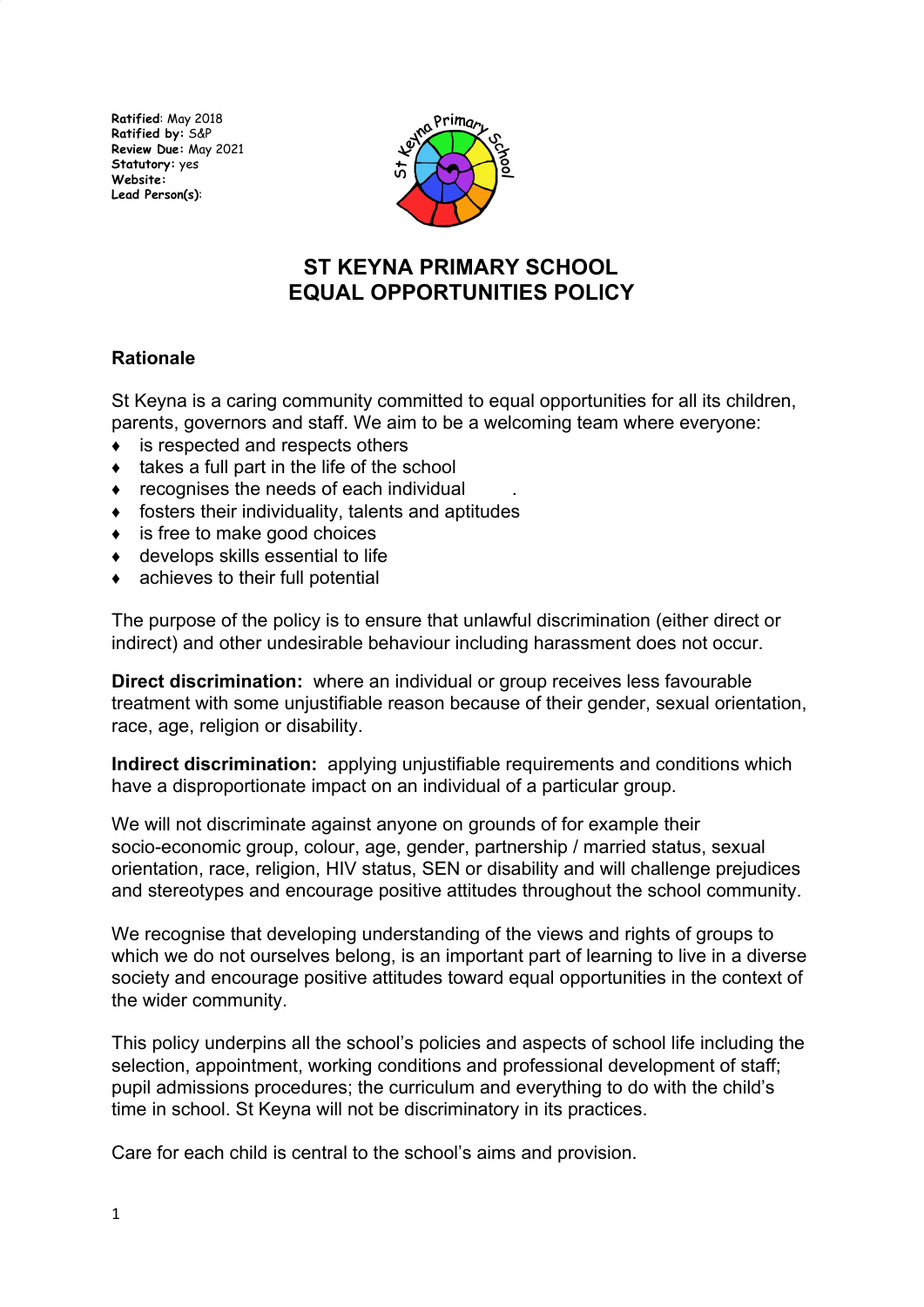**Ratified**: May 2018 **Ratified by:** S&P **Review Due:** May 2021 **Statutory:** yes **Website: Lead Person(s)**:



# **ST KEYNA PRIMARY SCHOOL EQUAL OPPORTUNITIES POLlCY**

# **Rationale**

St Keyna is a caring community committed to equal opportunities for all its children, parents, governors and staff. We aim to be a welcoming team where everyone:

- ♦ is respected and respects others
- takes a full part in the life of the school
- $\bullet$  recognises the needs of each individual
- $\bullet$  fosters their individuality, talents and aptitudes
- ♦ is free to make good choices
- $\triangleleft$  develops skills essential to life
- $\bullet$  achieves to their full potential

The purpose of the policy is to ensure that unlawful discrimination (either direct or indirect) and other undesirable behaviour including harassment does not occur.

**Direct discrimination:** where an individual or group receives less favourable treatment with some unjustifiable reason because of their gender, sexual orientation, race, age, religion or disability.

**Indirect discrimination:** applying unjustifiable requirements and conditions which have a disproportionate impact on an individual of a particular group.

We will not discriminate against anyone on grounds of for example their socio-economic group, colour, age, gender, partnership / married status, sexual orientation, race, religion, HIV status, SEN or disability and will challenge prejudices and stereotypes and encourage positive attitudes throughout the school community.

We recognise that developing understanding of the views and rights of groups to which we do not ourselves belong, is an important part of learning to live in a diverse society and encourage positive attitudes toward equal opportunities in the context of the wider community.

This policy underpins all the school's policies and aspects of school life including the selection, appointment, working conditions and professional development of staff; pupil admissions procedures; the curriculum and everything to do with the child's time in school. St Keyna will not be discriminatory in its practices.

Care for each child is central to the school's aims and provision.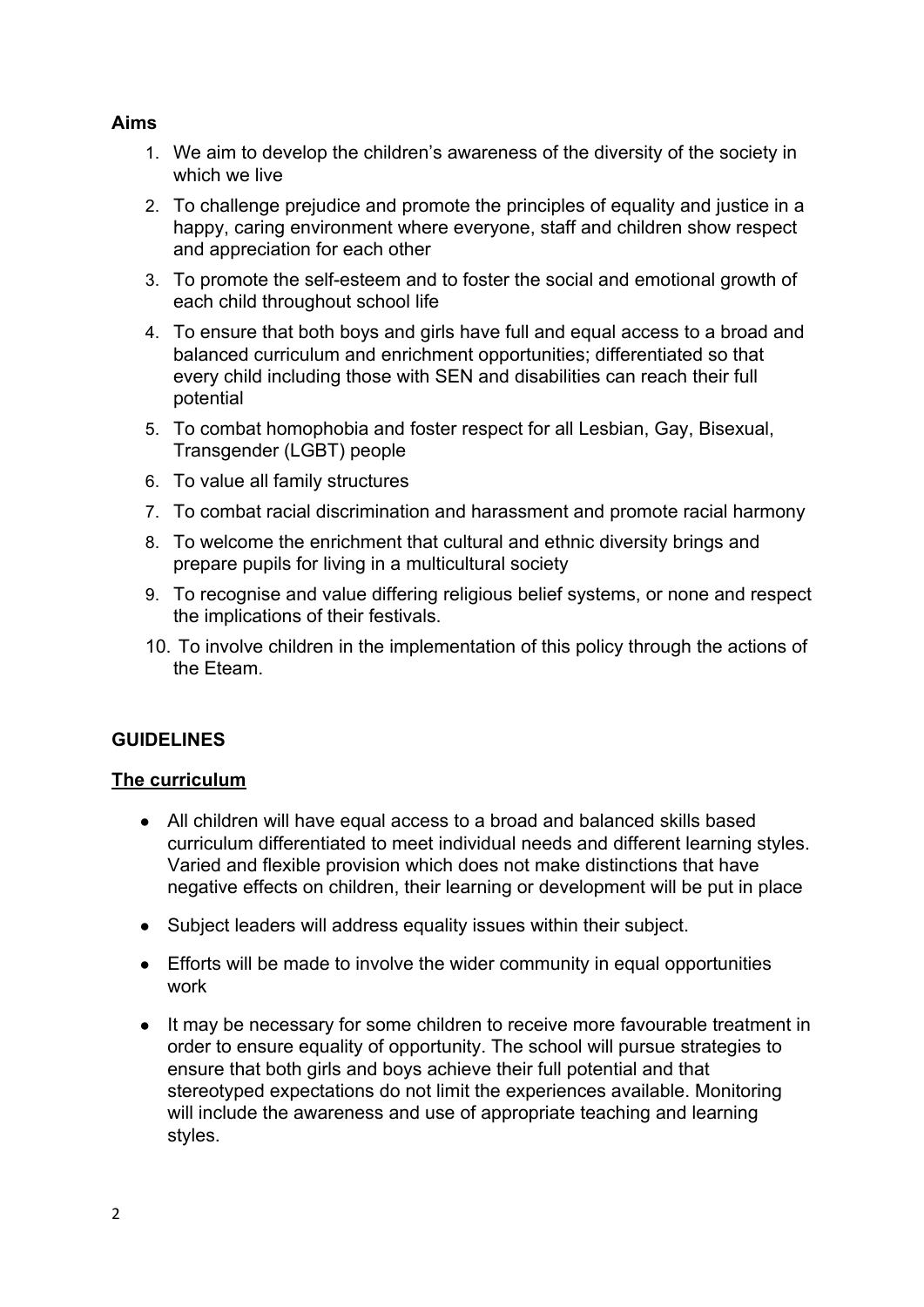## **Aims**

- 1. We aim to develop the children's awareness of the diversity of the society in which we live
- 2. To challenge prejudice and promote the principles of equality and justice in a happy, caring environment where everyone, staff and children show respect and appreciation for each other
- 3. To promote the self-esteem and to foster the social and emotional growth of each child throughout school life
- 4. To ensure that both boys and girls have full and equal access to a broad and balanced curriculum and enrichment opportunities; differentiated so that every child including those with SEN and disabilities can reach their full potential
- 5. To combat homophobia and foster respect for all Lesbian, Gay, Bisexual, Transgender (LGBT) people
- 6. To value all family structures
- 7. To combat racial discrimination and harassment and promote racial harmony
- 8. To welcome the enrichment that cultural and ethnic diversity brings and prepare pupils for living in a multicultural society
- 9. To recognise and value differing religious belief systems, or none and respect the implications of their festivals.
- 10. To involve children in the implementation of this policy through the actions of the Eteam.

# **GUIDELINES**

## **The curriculum**

- All children will have equal access to a broad and balanced skills based curriculum differentiated to meet individual needs and different learning styles. Varied and flexible provision which does not make distinctions that have negative effects on children, their learning or development will be put in place
- Subject leaders will address equality issues within their subject.
- Efforts will be made to involve the wider community in equal opportunities work
- It may be necessary for some children to receive more favourable treatment in order to ensure equality of opportunity. The school will pursue strategies to ensure that both girls and boys achieve their full potential and that stereotyped expectations do not limit the experiences available. Monitoring will include the awareness and use of appropriate teaching and learning styles.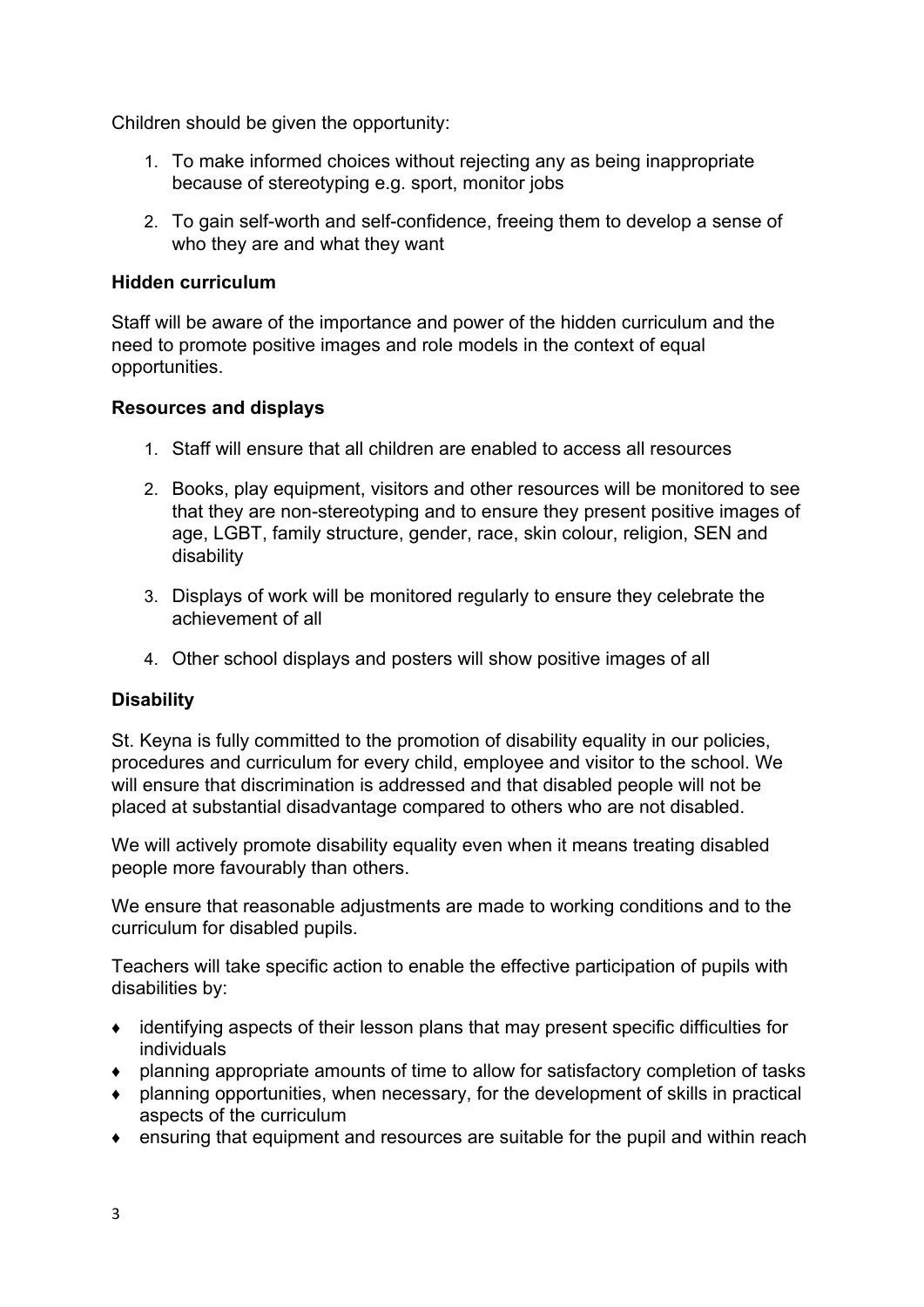Children should be given the opportunity:

- 1. To make informed choices without rejecting any as being inappropriate because of stereotyping e.g. sport, monitor jobs
- 2. To gain self-worth and self-confidence, freeing them to develop a sense of who they are and what they want

#### **Hidden curriculum**

Staff will be aware of the importance and power of the hidden curriculum and the need to promote positive images and role models in the context of equal opportunities.

#### **Resources and displays**

- 1. Staff will ensure that all children are enabled to access all resources
- 2. Books, play equipment, visitors and other resources will be monitored to see that they are non-stereotyping and to ensure they present positive images of age, LGBT, family structure, gender, race, skin colour, religion, SEN and disability
- 3. Displays of work will be monitored regularly to ensure they celebrate the achievement of all
- 4. Other school displays and posters will show positive images of all

## **Disability**

St. Keyna is fully committed to the promotion of disability equality in our policies, procedures and curriculum for every child, employee and visitor to the school. We will ensure that discrimination is addressed and that disabled people will not be placed at substantial disadvantage compared to others who are not disabled.

We will actively promote disability equality even when it means treating disabled people more favourably than others.

We ensure that reasonable adjustments are made to working conditions and to the curriculum for disabled pupils.

Teachers will take specific action to enable the effective participation of pupils with disabilities by:

- $\bullet$  identifying aspects of their lesson plans that may present specific difficulties for individuals
- ♦ planning appropriate amounts of time to allow for satisfactory completion of tasks
- ♦ planning opportunities, when necessary, for the development of skills in practical aspects of the curriculum
- ♦ ensuring that equipment and resources are suitable for the pupil and within reach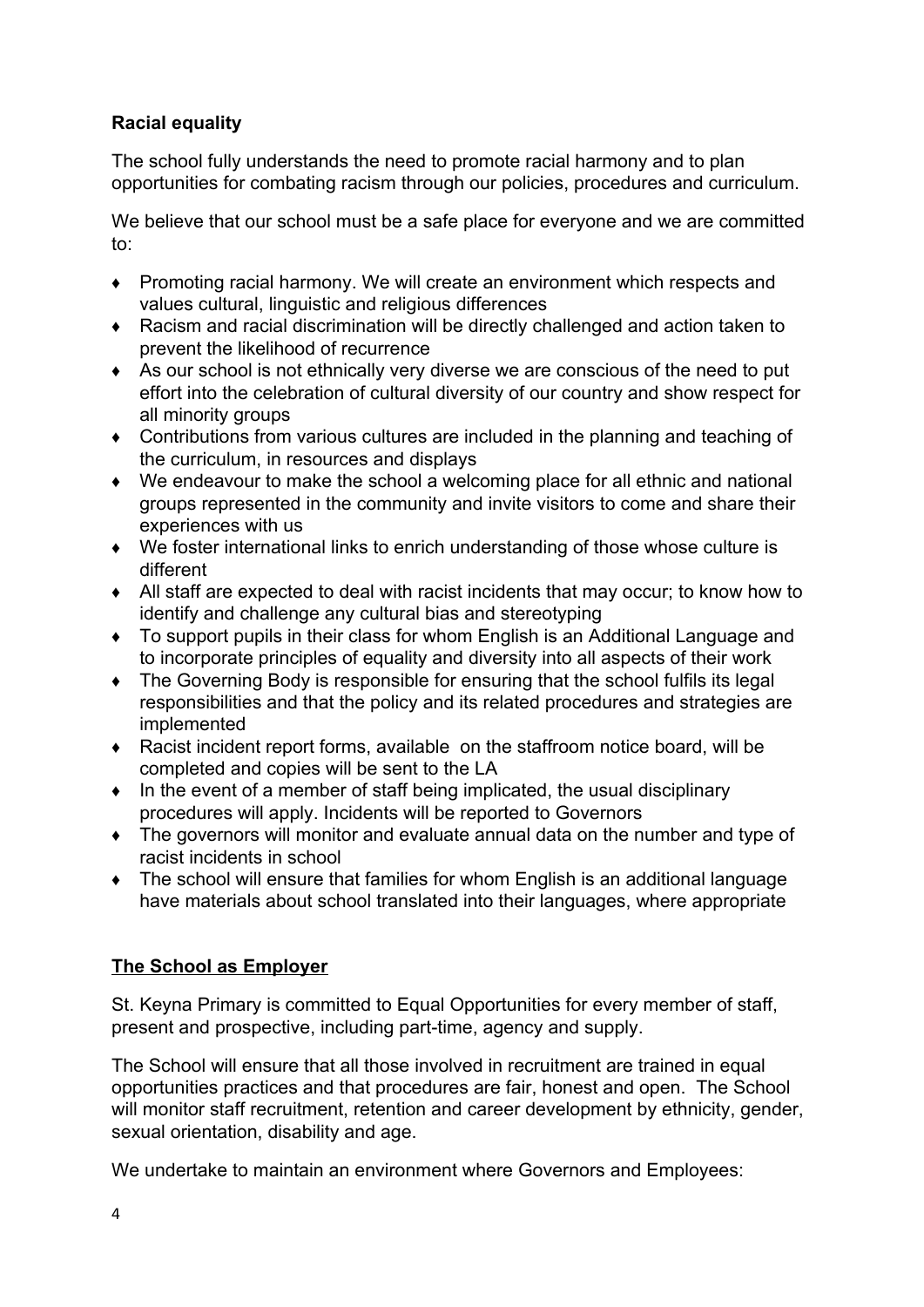# **Racial equality**

The school fully understands the need to promote racial harmony and to plan opportunities for combating racism through our policies, procedures and curriculum.

We believe that our school must be a safe place for everyone and we are committed to:

- ♦ Promoting racial harmony. We will create an environment which respects and values cultural, linguistic and religious differences
- ♦ Racism and racial discrimination will be directly challenged and action taken to prevent the likelihood of recurrence
- ♦ As our school is not ethnically very diverse we are conscious of the need to put effort into the celebration of cultural diversity of our country and show respect for all minority groups
- ♦ Contributions from various cultures are included in the planning and teaching of the curriculum, in resources and displays
- ♦ We endeavour to make the school a welcoming place for all ethnic and national groups represented in the community and invite visitors to come and share their experiences with us
- ♦ We foster international links to enrich understanding of those whose culture is different
- ♦ All staff are expected to deal with racist incidents that may occur; to know how to identify and challenge any cultural bias and stereotyping
- ♦ To support pupils in their class for whom English is an Additional Language and to incorporate principles of equality and diversity into all aspects of their work
- ♦ The Governing Body is responsible for ensuring that the school fulfils its legal responsibilities and that the policy and its related procedures and strategies are implemented
- ♦ Racist incident report forms, available on the staffroom notice board, will be completed and copies will be sent to the LA
- ♦ In the event of a member of staff being implicated, the usual disciplinary procedures will apply. Incidents will be reported to Governors
- ♦ The governors will monitor and evaluate annual data on the number and type of racist incidents in school
- ♦ The school will ensure that families for whom English is an additional language have materials about school translated into their languages, where appropriate

# **The School as Employer**

St. Keyna Primary is committed to Equal Opportunities for every member of staff, present and prospective, including part-time, agency and supply.

The School will ensure that all those involved in recruitment are trained in equal opportunities practices and that procedures are fair, honest and open. The School will monitor staff recruitment, retention and career development by ethnicity, gender, sexual orientation, disability and age.

We undertake to maintain an environment where Governors and Employees: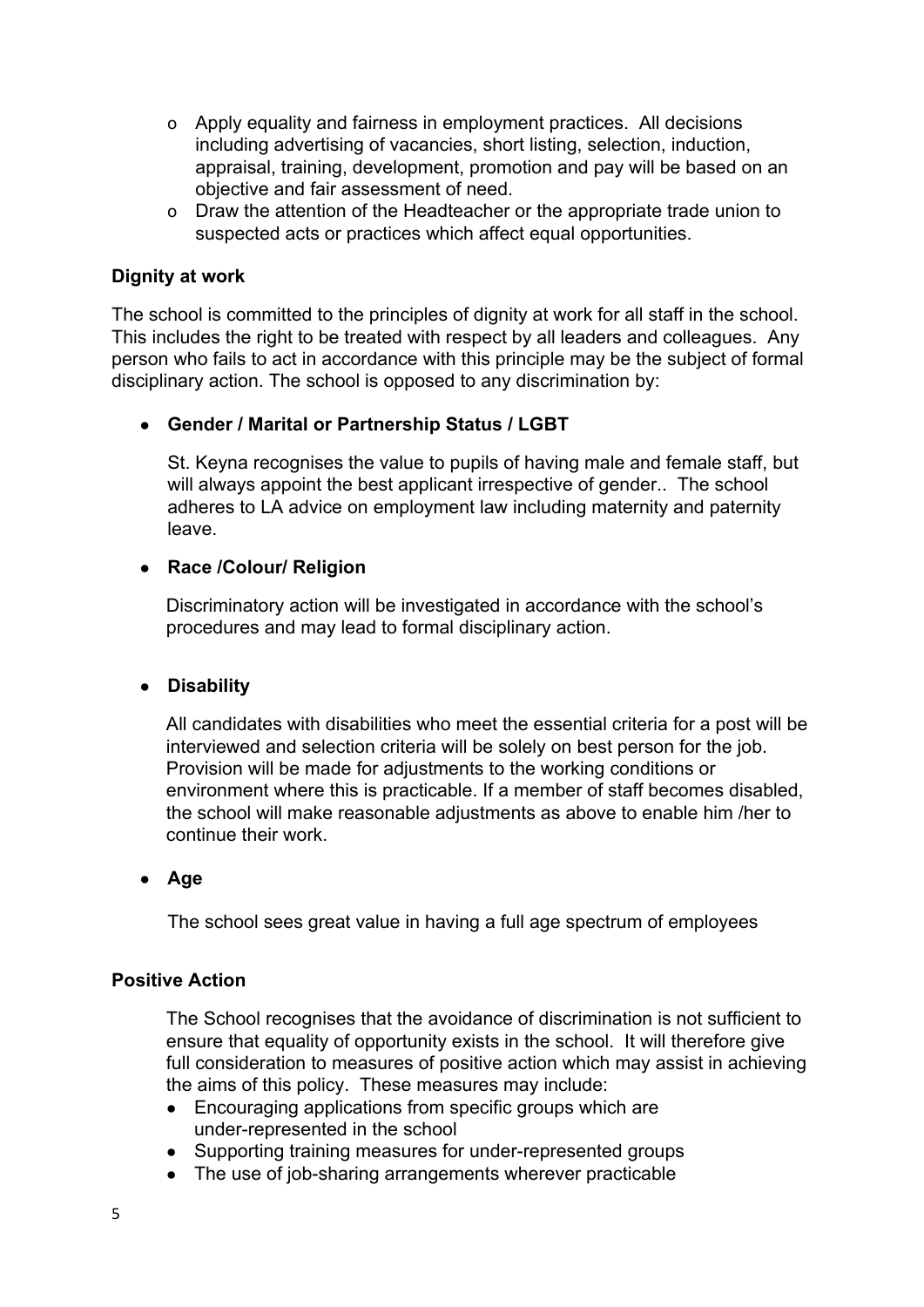- o Apply equality and fairness in employment practices. All decisions including advertising of vacancies, short listing, selection, induction, appraisal, training, development, promotion and pay will be based on an objective and fair assessment of need.
- o Draw the attention of the Headteacher or the appropriate trade union to suspected acts or practices which affect equal opportunities.

#### **Dignity at work**

The school is committed to the principles of dignity at work for all staff in the school. This includes the right to be treated with respect by all leaders and colleagues. Any person who fails to act in accordance with this principle may be the subject of formal disciplinary action. The school is opposed to any discrimination by:

#### ● **Gender / Marital or Partnership Status / LGBT**

St. Keyna recognises the value to pupils of having male and female staff, but will always appoint the best applicant irrespective of gender.. The school adheres to LA advice on employment law including maternity and paternity leave.

#### ● **Race /Colour/ Religion**

Discriminatory action will be investigated in accordance with the school's procedures and may lead to formal disciplinary action.

#### ● **Disability**

All candidates with disabilities who meet the essential criteria for a post will be interviewed and selection criteria will be solely on best person for the job. Provision will be made for adjustments to the working conditions or environment where this is practicable. If a member of staff becomes disabled, the school will make reasonable adjustments as above to enable him /her to continue their work.

#### ● **Age**

The school sees great value in having a full age spectrum of employees

#### **Positive Action**

The School recognises that the avoidance of discrimination is not sufficient to ensure that equality of opportunity exists in the school. It will therefore give full consideration to measures of positive action which may assist in achieving the aims of this policy. These measures may include:

- Encouraging applications from specific groups which are under-represented in the school
- Supporting training measures for under-represented groups
- The use of job-sharing arrangements wherever practicable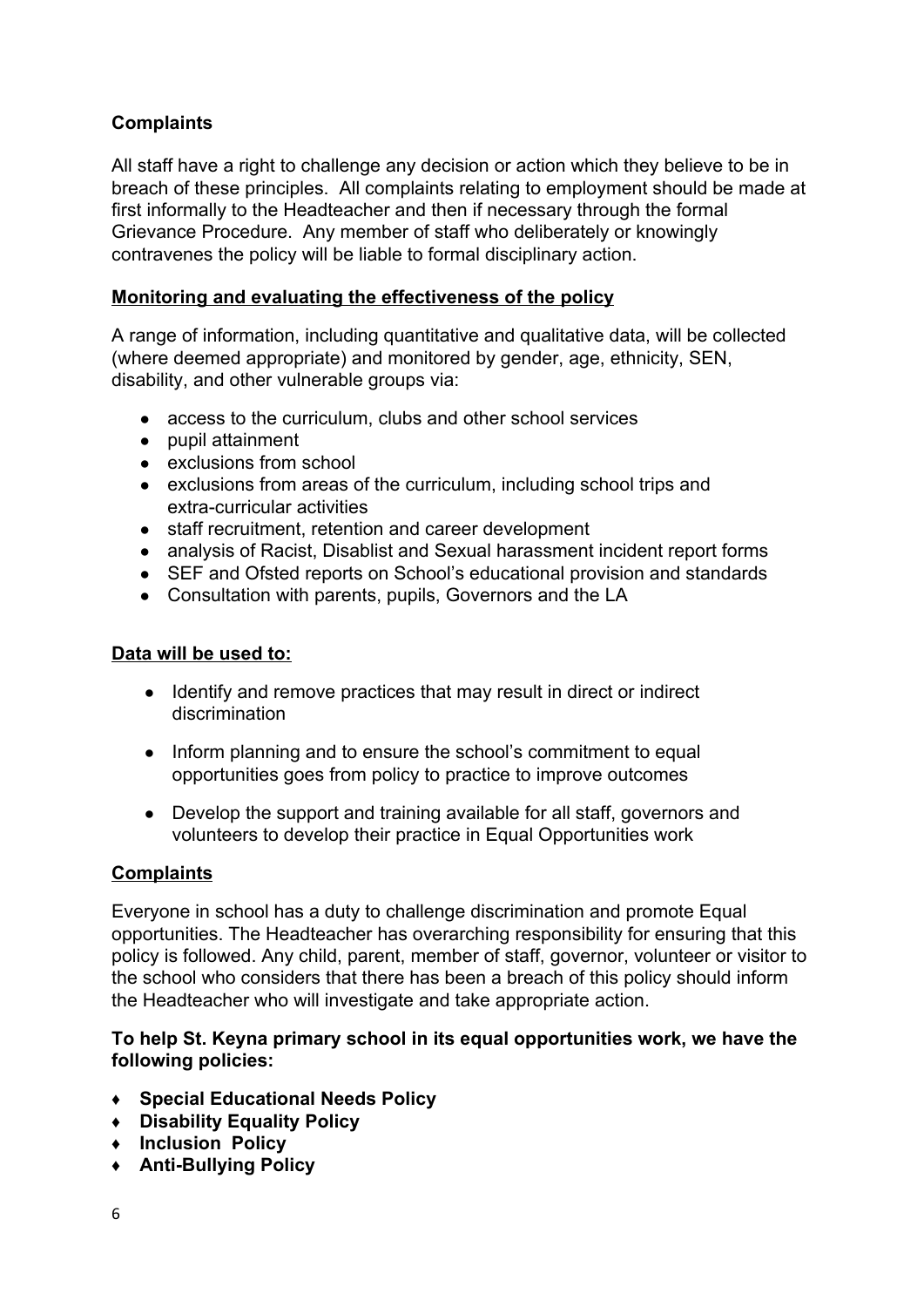# **Complaints**

All staff have a right to challenge any decision or action which they believe to be in breach of these principles. All complaints relating to employment should be made at first informally to the Headteacher and then if necessary through the formal Grievance Procedure. Any member of staff who deliberately or knowingly contravenes the policy will be liable to formal disciplinary action.

## **Monitoring and evaluating the effectiveness of the policy**

A range of information, including quantitative and qualitative data, will be collected (where deemed appropriate) and monitored by gender, age, ethnicity, SEN, disability, and other vulnerable groups via:

- access to the curriculum, clubs and other school services
- pupil attainment
- exclusions from school
- exclusions from areas of the curriculum, including school trips and extra-curricular activities
- staff recruitment, retention and career development
- analysis of Racist, Disablist and Sexual harassment incident report forms
- SEF and Ofsted reports on School's educational provision and standards
- Consultation with parents, pupils, Governors and the LA

### **Data will be used to:**

- Identify and remove practices that may result in direct or indirect discrimination
- Inform planning and to ensure the school's commitment to equal opportunities goes from policy to practice to improve outcomes
- Develop the support and training available for all staff, governors and volunteers to develop their practice in Equal Opportunities work

## **Complaints**

Everyone in school has a duty to challenge discrimination and promote Equal opportunities. The Headteacher has overarching responsibility for ensuring that this policy is followed. Any child, parent, member of staff, governor, volunteer or visitor to the school who considers that there has been a breach of this policy should inform the Headteacher who will investigate and take appropriate action.

#### **To help St. Keyna primary school in its equal opportunities work, we have the following policies:**

- ♦ **Special Educational Needs Policy**
- ♦ **Disability Equality Policy**
- ♦ **Inclusion Policy**
- ♦ **Anti-Bullying Policy**